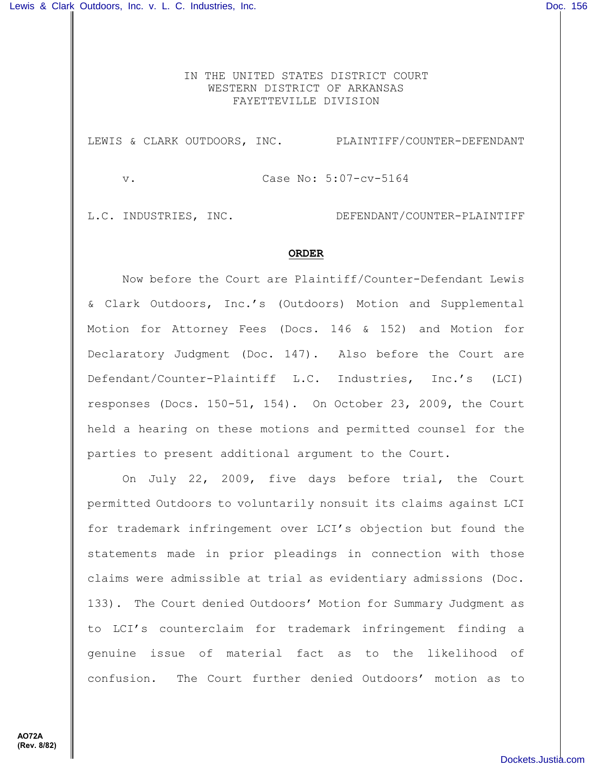IN THE UNITED STATES DISTRICT COURT WESTERN DISTRICT OF ARKANSAS FAYETTEVILLE DIVISION

LEWIS & CLARK OUTDOORS, INC. PLAINTIFF/COUNTER-DEFENDANT

v. Case No: 5:07-cv-5164

L.C. INDUSTRIES, INC. DEFENDANT/COUNTER-PLAINTIFF

## **ORDER**

Now before the Court are Plaintiff/Counter-Defendant Lewis & Clark Outdoors, Inc.'s (Outdoors) Motion and Supplemental Motion for Attorney Fees (Docs. 146 & 152) and Motion for Declaratory Judgment (Doc. 147). Also before the Court are Defendant/Counter-Plaintiff L.C. Industries, Inc.'s (LCI) responses (Docs. 150-51, 154). On October 23, 2009, the Court held a hearing on these motions and permitted counsel for the parties to present additional argument to the Court.

On July 22, 2009, five days before trial, the Court permitted Outdoors to voluntarily nonsuit its claims against LCI for trademark infringement over LCI's objection but found the statements made in prior pleadings in connection with those claims were admissible at trial as evidentiary admissions (Doc. 133). The Court denied Outdoors' Motion for Summary Judgment as to LCI's counterclaim for trademark infringement finding a genuine issue of material fact as to the likelihood of confusion. The Court further denied Outdoors' motion as to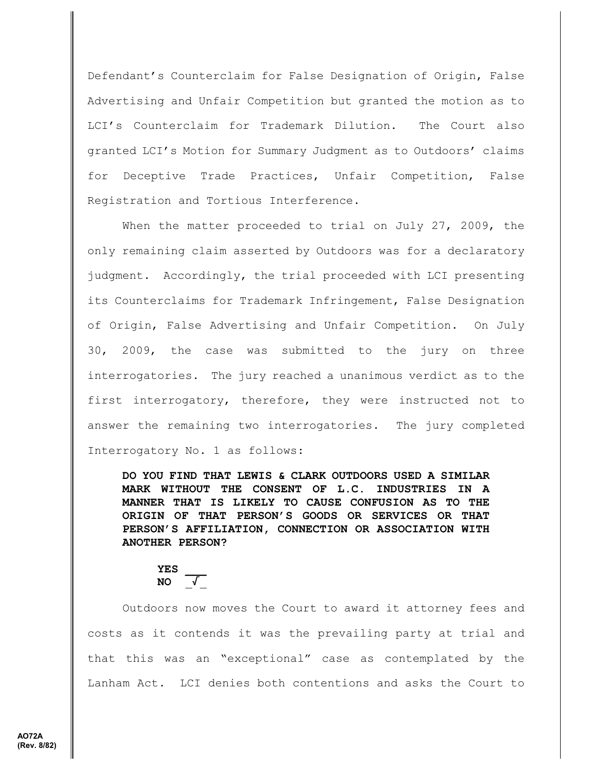Defendant's Counterclaim for False Designation of Origin, False Advertising and Unfair Competition but granted the motion as to LCI's Counterclaim for Trademark Dilution. The Court also granted LCI's Motion for Summary Judgment as to Outdoors' claims for Deceptive Trade Practices, Unfair Competition, False Registration and Tortious Interference.

When the matter proceeded to trial on July 27, 2009, the only remaining claim asserted by Outdoors was for a declaratory judgment. Accordingly, the trial proceeded with LCI presenting its Counterclaims for Trademark Infringement, False Designation of Origin, False Advertising and Unfair Competition. On July 30, 2009, the case was submitted to the jury on three interrogatories. The jury reached a unanimous verdict as to the first interrogatory, therefore, they were instructed not to answer the remaining two interrogatories. The jury completed Interrogatory No. 1 as follows:

**DO YOU FIND THAT LEWIS & CLARK OUTDOORS USED A SIMILAR MARK WITHOUT THE CONSENT OF L.C. INDUSTRIES IN A MANNER THAT IS LIKELY TO CAUSE CONFUSION AS TO THE ORIGIN OF THAT PERSON'S GOODS OR SERVICES OR THAT PERSON'S AFFILIATION, CONNECTION OR ASSOCIATION WITH ANOTHER PERSON?**

**YES \_\_\_ NO** \_/\_

Outdoors now moves the Court to award it attorney fees and costs as it contends it was the prevailing party at trial and that this was an "exceptional" case as contemplated by the Lanham Act. LCI denies both contentions and asks the Court to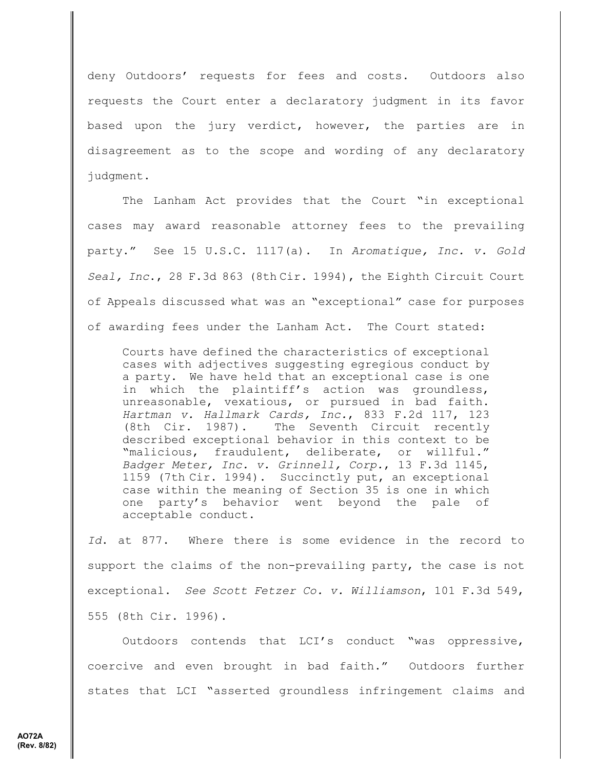deny Outdoors' requests for fees and costs. Outdoors also requests the Court enter a declaratory judgment in its favor based upon the jury verdict, however, the parties are in disagreement as to the scope and wording of any declaratory judgment.

The Lanham Act provides that the Court "in exceptional cases may award reasonable attorney fees to the prevailing party." See 15 U.S.C. 1117(a). In *Aromatique, Inc. v. Gold Seal, Inc*., 28 F.3d 863 (8th Cir. 1994), the Eighth Circuit Court of Appeals discussed what was an "exceptional" case for purposes of awarding fees under the Lanham Act. The Court stated:

Courts have defined the characteristics of exceptional cases with adjectives suggesting egregious conduct by a party. We have held that an exceptional case is one in which the plaintiff's action was groundless, unreasonable, vexatious, or pursued in bad faith. *Hartman v. Hallmark Cards, Inc.*, 833 F.2d 117, 123 (8th Cir. 1987). The Seventh Circuit recently described exceptional behavior in this context to be "malicious, fraudulent, deliberate, or willful." *Badger Meter, Inc. v. Grinnell, Corp.*, 13 F.3d 1145, 1159 (7th Cir. 1994). Succinctly put, an exceptional case within the meaning of Section 35 is one in which one party's behavior went beyond the pale of acceptable conduct.

*Id*. at 877. Where there is some evidence in the record to support the claims of the non-prevailing party, the case is not exceptional. *See Scott Fetzer Co. v. Williamson*, 101 F.3d 549, 555 (8th Cir. 1996).

Outdoors contends that LCI's conduct "was oppressive, coercive and even brought in bad faith." Outdoors further states that LCI "asserted groundless infringement claims and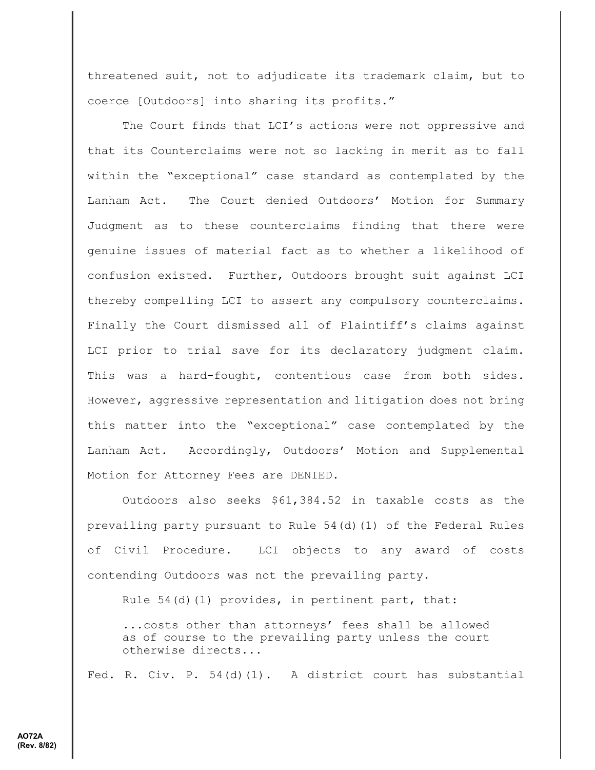threatened suit, not to adjudicate its trademark claim, but to coerce [Outdoors] into sharing its profits."

The Court finds that LCI's actions were not oppressive and that its Counterclaims were not so lacking in merit as to fall within the "exceptional" case standard as contemplated by the Lanham Act. The Court denied Outdoors' Motion for Summary Judgment as to these counterclaims finding that there were genuine issues of material fact as to whether a likelihood of confusion existed. Further, Outdoors brought suit against LCI thereby compelling LCI to assert any compulsory counterclaims. Finally the Court dismissed all of Plaintiff's claims against LCI prior to trial save for its declaratory judgment claim. This was a hard-fought, contentious case from both sides. However, aggressive representation and litigation does not bring this matter into the "exceptional" case contemplated by the Lanham Act. Accordingly, Outdoors' Motion and Supplemental Motion for Attorney Fees are DENIED.

Outdoors also seeks \$61,384.52 in taxable costs as the prevailing party pursuant to Rule 54(d)(1) of the Federal Rules of Civil Procedure. LCI objects to any award of costs contending Outdoors was not the prevailing party.

Rule 54(d)(1) provides, in pertinent part, that:

...costs other than attorneys' fees shall be allowed as of course to the prevailing party unless the court otherwise directs...

Fed. R. Civ. P. 54(d)(1). A district court has substantial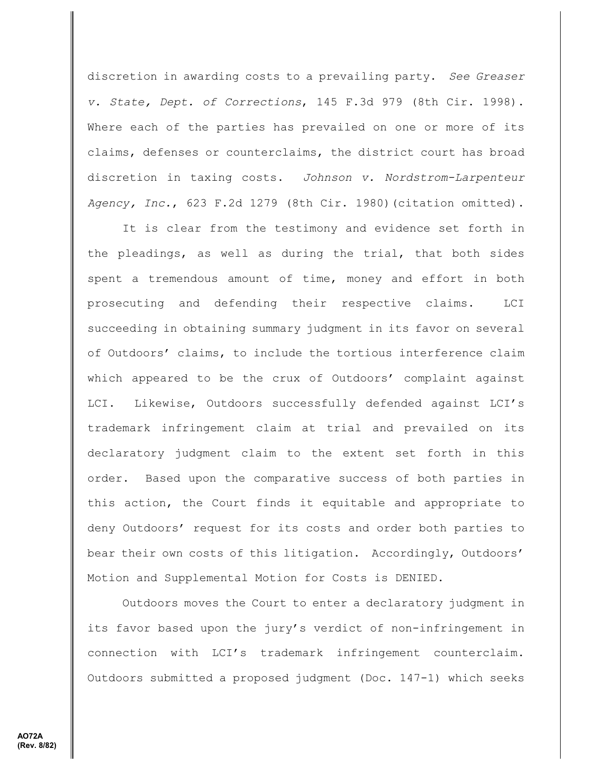discretion in awarding costs to a prevailing party. *See Greaser v. State, Dept. of Corrections*, 145 F.3d 979 (8th Cir. 1998). Where each of the parties has prevailed on one or more of its claims, defenses or counterclaims, the district court has broad discretion in taxing costs. *Johnson v. Nordstrom-Larpenteur Agency, Inc.*, 623 F.2d 1279 (8th Cir. 1980)(citation omitted).

It is clear from the testimony and evidence set forth in the pleadings, as well as during the trial, that both sides spent a tremendous amount of time, money and effort in both prosecuting and defending their respective claims. LCI succeeding in obtaining summary judgment in its favor on several of Outdoors' claims, to include the tortious interference claim which appeared to be the crux of Outdoors' complaint against LCI. Likewise, Outdoors successfully defended against LCI's trademark infringement claim at trial and prevailed on its declaratory judgment claim to the extent set forth in this order. Based upon the comparative success of both parties in this action, the Court finds it equitable and appropriate to deny Outdoors' request for its costs and order both parties to bear their own costs of this litigation. Accordingly, Outdoors' Motion and Supplemental Motion for Costs is DENIED.

Outdoors moves the Court to enter a declaratory judgment in its favor based upon the jury's verdict of non-infringement in connection with LCI's trademark infringement counterclaim. Outdoors submitted a proposed judgment (Doc. 147-1) which seeks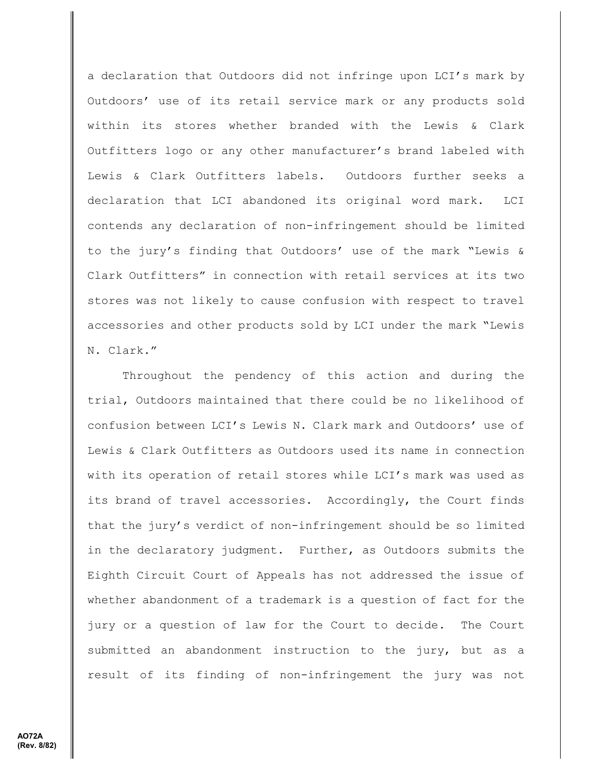a declaration that Outdoors did not infringe upon LCI's mark by Outdoors' use of its retail service mark or any products sold within its stores whether branded with the Lewis & Clark Outfitters logo or any other manufacturer's brand labeled with Lewis & Clark Outfitters labels. Outdoors further seeks a declaration that LCI abandoned its original word mark. LCI contends any declaration of non-infringement should be limited to the jury's finding that Outdoors' use of the mark "Lewis & Clark Outfitters" in connection with retail services at its two stores was not likely to cause confusion with respect to travel accessories and other products sold by LCI under the mark "Lewis N. Clark."

Throughout the pendency of this action and during the trial, Outdoors maintained that there could be no likelihood of confusion between LCI's Lewis N. Clark mark and Outdoors' use of Lewis & Clark Outfitters as Outdoors used its name in connection with its operation of retail stores while LCI's mark was used as its brand of travel accessories. Accordingly, the Court finds that the jury's verdict of non-infringement should be so limited in the declaratory judgment. Further, as Outdoors submits the Eighth Circuit Court of Appeals has not addressed the issue of whether abandonment of a trademark is a question of fact for the jury or a question of law for the Court to decide. The Court submitted an abandonment instruction to the jury, but as a result of its finding of non-infringement the jury was not